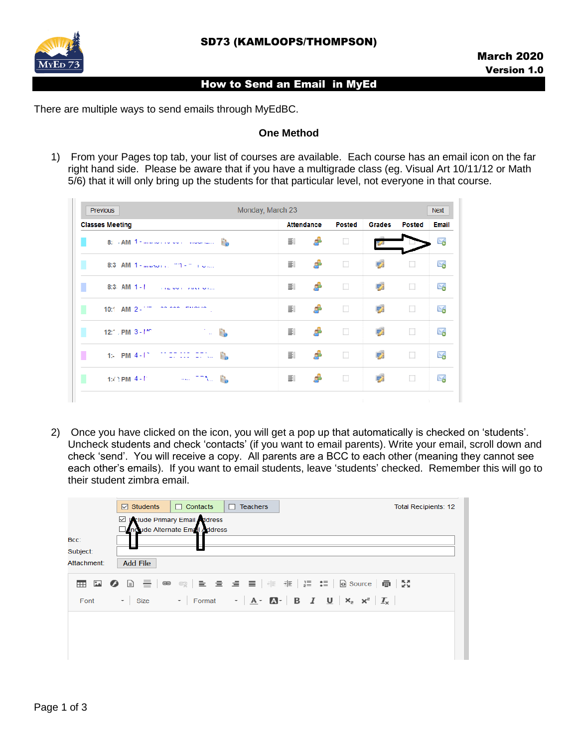

## How to Send an Email in MyEd

There are multiple ways to send emails through MyEdBC.

## **One Method**

1) From your Pages top tab, your list of courses are available. Each course has an email icon on the far right hand side. Please be aware that if you have a multigrade class (eg. Visual Art 10/11/12 or Math 5/6) that it will only bring up the students for that particular level, not everyone in that course.

| <b>Previous</b>                                              | Monday, March 23  |   |                                        |        |               |                |
|--------------------------------------------------------------|-------------------|---|----------------------------------------|--------|---------------|----------------|
| <b>Classes Meeting</b>                                       | <b>Attendance</b> |   | Posted                                 | Grades | <b>Posted</b> | <b>Email</b>   |
|                                                              | 틟                 | Æ | П                                      |        |               | ≥6             |
| 8:3 AM 1 - www.com  ""1 - "  com                             | ΞI                | Æ | $\begin{array}{c} \square \end{array}$ | 竪      | □             | N <sub>6</sub> |
| 8:3: AM $1 - P$<br>THE OUT THAT OILS                         | ΞI                | Æ | $\begin{array}{c} \square \end{array}$ | 竖      | o             | $\geq_6$       |
| on one municipal<br>10:1 AM 2 -                              | 틟                 | Æ | $\begin{array}{c} \square \end{array}$ | 52     | o             | $\geq_6$       |
| $\mathbf{L}$<br>$12$ :" $\sqrt{7}$ PM $3 - 11$ <sup>no</sup> | ΞI                | Æ | Ω                                      | 52     | Ω             | $\geq_6$       |
| Г<br>1: $PM 4 - 1$<br>and the first                          | 틟                 | Æ | $\Box$                                 | 52     | $\Box$        | $\geq_6$       |
| <b>SALE TO ALL DE</b><br>$1:4$ ? PM $-1$                     | 틟                 | Æ | Ω                                      | 52     | $\Box$        | ×6             |

2) Once you have clicked on the icon, you will get a pop up that automatically is checked on 'students'. Uncheck students and check 'contacts' (if you want to email parents). Write your email, scroll down and check 'send'. You will receive a copy. All parents are a BCC to each other (meaning they cannot see each other's emails). If you want to email students, leave 'students' checked. Remember this will go to their student zimbra email.

|                  | $\boxdot$ Students | $\Box$ Contacts                                                        | <b>Teachers</b><br>n. |                                                                                                                                                                          | Total Recipients: 12 |  |
|------------------|--------------------|------------------------------------------------------------------------|-----------------------|--------------------------------------------------------------------------------------------------------------------------------------------------------------------------|----------------------|--|
| Bcc:<br>Subject: | ☑                  | <b>Uclude Primary Email Address</b><br>include Alternate Email Address |                       |                                                                                                                                                                          |                      |  |
| Attachment:      | <b>Add File</b>    |                                                                        |                       |                                                                                                                                                                          |                      |  |
| E 0<br>ŦŦ        |                    |                                                                        |                       | - ③ 三 │ ∞ ◎ │ 三 三 三 三 三 │ 非 非 │ != := │ ④ Source │ 向 │ 23                                                                                                                |                      |  |
| Font             | $\sim$ Size        |                                                                        |                       | Format $\cdot$   $\underline{A} \cdot \underline{A} \cdot \underline{B} \cdot$   $\underline{B}$   $\underline{I}$   $\underline{V}$   $x_z$   $x_z$   $\underline{I}_x$ |                      |  |
|                  |                    |                                                                        |                       |                                                                                                                                                                          |                      |  |
|                  |                    |                                                                        |                       |                                                                                                                                                                          |                      |  |
|                  |                    |                                                                        |                       |                                                                                                                                                                          |                      |  |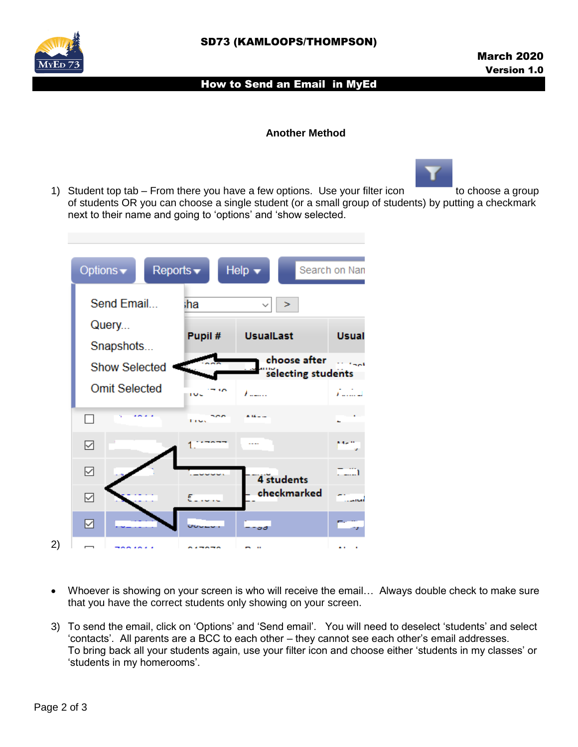

### How to Send an Email in MyEd

### **Another Method**



1) Student top tab – From there you have a few options. Use your filter icon to choose a group of students OR you can choose a single student (or a small group of students) by putting a checkmark next to their name and going to 'options' and 'show selected.

|    | Options v            |                     | Reports $\blacktriangledown$ |                | Help $\blacktriangledown$ | Search on Nan                              |
|----|----------------------|---------------------|------------------------------|----------------|---------------------------|--------------------------------------------|
|    |                      | Send Email<br>Query |                              | iha<br>Pupil # | ⋗<br><b>UsualLast</b>     | <b>Usual</b>                               |
|    |                      | Snapshots           |                              |                |                           |                                            |
|    | <b>Show Selected</b> |                     |                              |                | choose after              | $\epsilon_{\rm max}$<br>selecting students |
|    | <b>Omit Selected</b> |                     | īυ.                          | $\mathbf{A}$   | £ ÷ i                     |                                            |
|    |                      |                     |                              | l i Gy         |                           |                                            |
|    | ☑                    |                     |                              |                |                           |                                            |
|    | ☑                    |                     |                              |                | 4 students                |                                            |
|    | ⊵                    |                     |                              |                | checkmarked               |                                            |
|    | ☑                    |                     |                              |                | ಶ                         |                                            |
| 2) |                      |                     |                              |                |                           |                                            |

- Whoever is showing on your screen is who will receive the email… Always double check to make sure that you have the correct students only showing on your screen.
- 3) To send the email, click on 'Options' and 'Send email'. You will need to deselect 'students' and select 'contacts'. All parents are a BCC to each other – they cannot see each other's email addresses. To bring back all your students again, use your filter icon and choose either 'students in my classes' or 'students in my homerooms'.